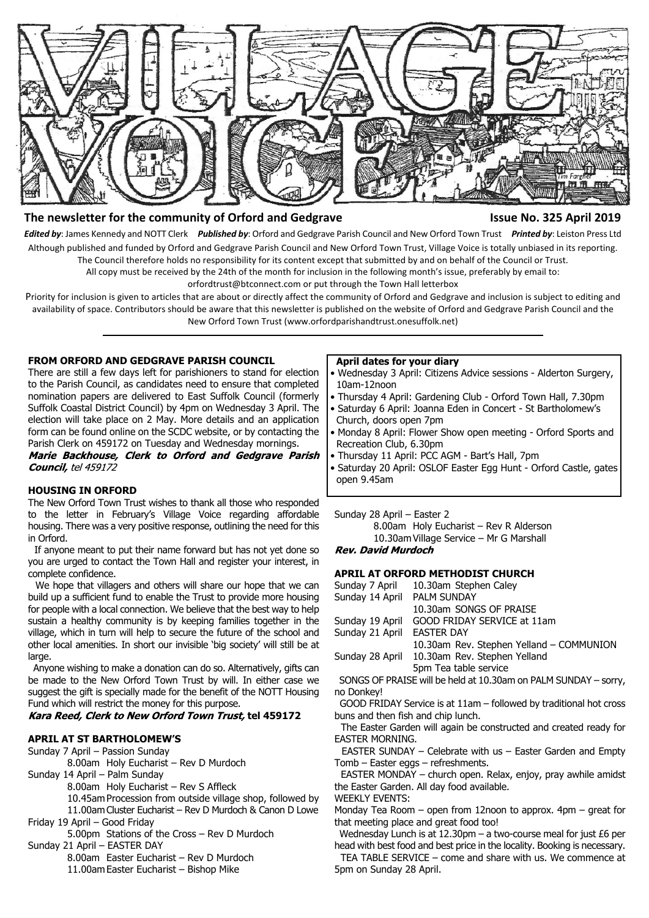

# **The newsletter for the community of Orford and Gedgrave Issue No. 325 April 2019**

*Edited by*: James Kennedy and NOTT Clerk *Published by*: Orford and Gedgrave Parish Council and New Orford Town Trust *Printed by*: Leiston Press Ltd Although published and funded by Orford and Gedgrave Parish Council and New Orford Town Trust, Village Voice is totally unbiased in its reporting. The Council therefore holds no responsibility for its content except that submitted by and on behalf of the Council or Trust.

All copy must be received by the 24th of the month for inclusion in the following month's issue, preferably by email to:

orfordtrust@btconnect.com or put through the Town Hall letterbox

Priority for inclusion is given to articles that are about or directly affect the community of Orford and Gedgrave and inclusion is subject to editing and availability of space. Contributors should be aware that this newsletter is published on the website of Orford and Gedgrave Parish Council and the New Orford Town Trust (www.orfordparishandtrust.onesuffolk.net)

## **FROM ORFORD AND GEDGRAVE PARISH COUNCIL**

There are still a few days left for parishioners to stand for election to the Parish Council, as candidates need to ensure that completed nomination papers are delivered to East Suffolk Council (formerly Suffolk Coastal District Council) by 4pm on Wednesday 3 April. The election will take place on 2 May. More details and an application form can be found online on the SCDC website, or by contacting the Parish Clerk on 459172 on Tuesday and Wednesday mornings.

Marie Backhouse, Clerk to Orford and Gedgrave Parish Council, tel 459172

# **HOUSING IN ORFORD**

The New Orford Town Trust wishes to thank all those who responded to the letter in February's Village Voice regarding affordable housing. There was a very positive response, outlining the need for this in Orford.

 If anyone meant to put their name forward but has not yet done so you are urged to contact the Town Hall and register your interest, in complete confidence.

 We hope that villagers and others will share our hope that we can build up a sufficient fund to enable the Trust to provide more housing for people with a local connection. We believe that the best way to help sustain a healthy community is by keeping families together in the village, which in turn will help to secure the future of the school and other local amenities. In short our invisible 'big society' will still be at large

 Anyone wishing to make a donation can do so. Alternatively, gifts can be made to the New Orford Town Trust by will. In either case we suggest the gift is specially made for the benefit of the NOTT Housing Fund which will restrict the money for this purpose.

# **Kara Reed, Clerk to New Orford Town Trust, tel 459172**

# **APRIL AT ST BARTHOLOMEW'S**

Sunday 7 April – Passion Sunday

- 8.00am Holy Eucharist Rev D Murdoch
- Sunday 14 April Palm Sunday
	- 8.00am Holy Eucharist Rev S Affleck
	- 10.45am Procession from outside village shop, followed by
- 11.00am Cluster Eucharist Rev D Murdoch & Canon D Lowe Friday 19 April – Good Friday

5.00pm Stations of the Cross – Rev D Murdoch

Sunday 21 April – EASTER DAY

8.00am Easter Eucharist – Rev D Murdoch

11.00am Easter Eucharist – Bishop Mike

#### **April dates for your diary**

- Wednesday 3 April: Citizens Advice sessions Alderton Surgery, 10am-12noon
- Thursday 4 April: Gardening Club Orford Town Hall, 7.30pm
- Saturday 6 April: Joanna Eden in Concert St Bartholomew's Church, doors open 7pm
- Monday 8 April: Flower Show open meeting Orford Sports and Recreation Club, 6.30pm
- Thursday 11 April: PCC AGM Bart's Hall, 7pm
- Saturday 20 April: OSLOF Easter Egg Hunt Orford Castle, gates open 9.45am

Sunday 28 April – Easter 2

8.00am Holy Eucharist – Rev R Alderson

10.30am Village Service – Mr G Marshall **Rev. David Murdoch** 

# **APRIL AT ORFORD METHODIST CHURCH**

- Sunday 7 April 10.30am Stephen Caley Sunday 14 April PALM SUNDAY 10.30am SONGS OF PRAISE Sunday 19 April GOOD FRIDAY SERVICE at 11am Sunday 21 April EASTER DAY 10.30am Rev. Stephen Yelland – COMMUNION
- Sunday 28 April 10.30am Rev. Stephen Yelland 5pm Tea table service

 SONGS OF PRAISE will be held at 10.30am on PALM SUNDAY – sorry, no Donkey!

 GOOD FRIDAY Service is at 11am – followed by traditional hot cross buns and then fish and chip lunch.

 The Easter Garden will again be constructed and created ready for EASTER MORNING.

 EASTER SUNDAY – Celebrate with us – Easter Garden and Empty Tomb – Easter eggs – refreshments.

 EASTER MONDAY – church open. Relax, enjoy, pray awhile amidst the Easter Garden. All day food available.

WEEKLY EVENTS:

Monday Tea Room – open from 12noon to approx. 4pm – great for that meeting place and great food too!

 Wednesday Lunch is at 12.30pm – a two-course meal for just £6 per head with best food and best price in the locality. Booking is necessary.

 TEA TABLE SERVICE – come and share with us. We commence at 5pm on Sunday 28 April.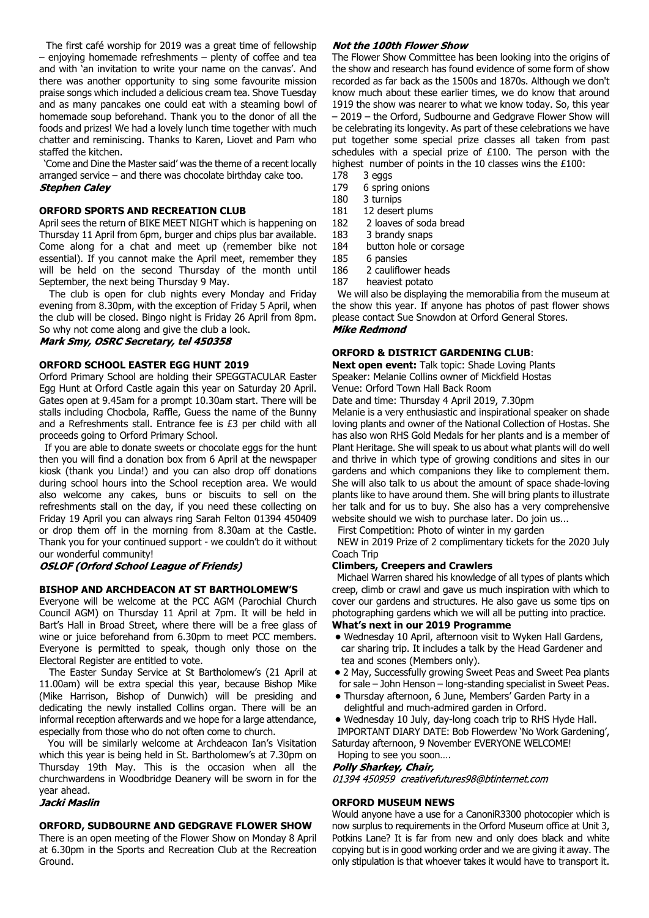The first café worship for 2019 was a great time of fellowship – enjoying homemade refreshments – plenty of coffee and tea and with 'an invitation to write your name on the canvas'. And there was another opportunity to sing some favourite mission praise songs which included a delicious cream tea. Shove Tuesday and as many pancakes one could eat with a steaming bowl of homemade soup beforehand. Thank you to the donor of all the foods and prizes! We had a lovely lunch time together with much chatter and reminiscing. Thanks to Karen, Liovet and Pam who staffed the kitchen.

 'Come and Dine the Master said' was the theme of a recent locally arranged service – and there was chocolate birthday cake too. **Stephen Caley** 

# **ORFORD SPORTS AND RECREATION CLUB**

April sees the return of BIKE MEET NIGHT which is happening on Thursday 11 April from 6pm, burger and chips plus bar available. Come along for a chat and meet up (remember bike not essential). If you cannot make the April meet, remember they will be held on the second Thursday of the month until September, the next being Thursday 9 May.

 The club is open for club nights every Monday and Friday evening from 8.30pm, with the exception of Friday 5 April, when the club will be closed. Bingo night is Friday 26 April from 8pm. So why not come along and give the club a look.

Mark Smy, OSRC Secretary, tel 450358

## **ORFORD SCHOOL EASTER EGG HUNT 2019**

Orford Primary School are holding their SPEGGTACULAR Easter Egg Hunt at Orford Castle again this year on Saturday 20 April. Gates open at 9.45am for a prompt 10.30am start. There will be stalls including Chocbola, Raffle, Guess the name of the Bunny and a Refreshments stall. Entrance fee is £3 per child with all proceeds going to Orford Primary School.

 If you are able to donate sweets or chocolate eggs for the hunt then you will find a donation box from 6 April at the newspaper kiosk (thank you Linda!) and you can also drop off donations during school hours into the School reception area. We would also welcome any cakes, buns or biscuits to sell on the refreshments stall on the day, if you need these collecting on Friday 19 April you can always ring Sarah Felton 01394 450409 or drop them off in the morning from 8.30am at the Castle. Thank you for your continued support - we couldn't do it without our wonderful community!

# **OSLOF (Orford School League of Friends)**

#### **BISHOP AND ARCHDEACON AT ST BARTHOLOMEW'S**

Everyone will be welcome at the PCC AGM (Parochial Church Council AGM) on Thursday 11 April at 7pm. It will be held in Bart's Hall in Broad Street, where there will be a free glass of wine or juice beforehand from 6.30pm to meet PCC members. Everyone is permitted to speak, though only those on the Electoral Register are entitled to vote.

 The Easter Sunday Service at St Bartholomew's (21 April at 11.00am) will be extra special this year, because Bishop Mike (Mike Harrison, Bishop of Dunwich) will be presiding and dedicating the newly installed Collins organ. There will be an informal reception afterwards and we hope for a large attendance, especially from those who do not often come to church.

 You will be similarly welcome at Archdeacon Ian's Visitation which this year is being held in St. Bartholomew's at 7.30pm on Thursday 19th May. This is the occasion when all the churchwardens in Woodbridge Deanery will be sworn in for the year ahead.

#### Jacki Maslin

#### **ORFORD, SUDBOURNE AND GEDGRAVE FLOWER SHOW**

There is an open meeting of the Flower Show on Monday 8 April at 6.30pm in the Sports and Recreation Club at the Recreation Ground.

## Not the 100th Flower Show

The Flower Show Committee has been looking into the origins of the show and research has found evidence of some form of show recorded as far back as the 1500s and 1870s. Although we don't know much about these earlier times, we do know that around 1919 the show was nearer to what we know today. So, this year – 2019 – the Orford, Sudbourne and Gedgrave Flower Show will be celebrating its longevity. As part of these celebrations we have put together some special prize classes all taken from past schedules with a special prize of £100. The person with the highest number of points in the 10 classes wins the £100:

- 178 3 eggs 179 6 spring onions
- 180 3 turnips
- 181 12 desert plums
- 182 2 loaves of soda bread
- 183 3 brandy snaps
- 
- 184 button hole or corsage<br>185 6 pansies
- 185 6 pansies<br>186 2 cauliflov 2 cauliflower heads
- 187 heaviest potato

 We will also be displaying the memorabilia from the museum at the show this year. If anyone has photos of past flower shows please contact Sue Snowdon at Orford General Stores. **Mike Redmond** 

# **ORFORD & DISTRICT GARDENING CLUB**:

**Next open event:** Talk topic: Shade Loving Plants Speaker: Melanie Collins owner of Mickfield Hostas Venue: Orford Town Hall Back Room

Date and time: Thursday 4 April 2019, 7.30pm

Melanie is a very enthusiastic and inspirational speaker on shade loving plants and owner of the National Collection of Hostas. She has also won RHS Gold Medals for her plants and is a member of Plant Heritage. She will speak to us about what plants will do well and thrive in which type of growing conditions and sites in our gardens and which companions they like to complement them. She will also talk to us about the amount of space shade-loving plants like to have around them. She will bring plants to illustrate her talk and for us to buy. She also has a very comprehensive website should we wish to purchase later. Do join us...

First Competition: Photo of winter in my garden

NEW in 2019 Prize of 2 complimentary tickets for the 2020 July Coach Trip

## **Climbers, Creepers and Crawlers**

Michael Warren shared his knowledge of all types of plants which creep, climb or crawl and gave us much inspiration with which to cover our gardens and structures. He also gave us some tips on photographing gardens which we will all be putting into practice. **What's next in our 2019 Programme**

# **•** Wednesday 10 April, afternoon visit to Wyken Hall Gardens, car sharing trip. It includes a talk by the Head Gardener and

- tea and scones (Members only).  **•** 2 May, Successfully growing Sweet Peas and Sweet Pea plants
- for sale John Henson long-standing specialist in Sweet Peas.  **•** Thursday afternoon, 6 June, Members' Garden Party in a
- delightful and much-admired garden in Orford.

 **•** Wednesday 10 July, day-long coach trip to RHS Hyde Hall. IMPORTANT DIARY DATE: Bob Flowerdew 'No Work Gardening', Saturday afternoon, 9 November EVERYONE WELCOME!

Hoping to see you soon….

#### Polly Sharkey, Chair,

01394 450959 creativefutures98@btinternet.com

#### **ORFORD MUSEUM NEWS**

Would anyone have a use for a CanoniR3300 photocopier which is now surplus to requirements in the Orford Museum office at Unit 3, Potkins Lane? It is far from new and only does black and white copying but is in good working order and we are giving it away. The only stipulation is that whoever takes it would have to transport it.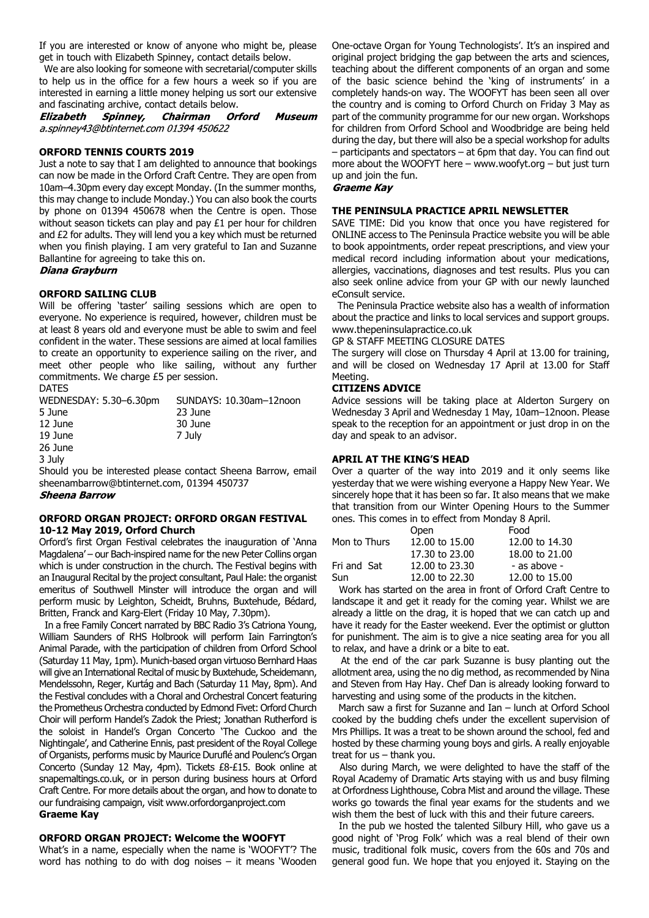If you are interested or know of anyone who might be, please get in touch with Elizabeth Spinney, contact details below.

 We are also looking for someone with secretarial/computer skills to help us in the office for a few hours a week so if you are interested in earning a little money helping us sort our extensive and fascinating archive, contact details below.<br>**Elizabeth Spinney, Chairman Or.** 

Elizabeth Chairman **Orford Museum** a.spinney43@btinternet.com 01394 450622

## **ORFORD TENNIS COURTS 2019**

Just a note to say that I am delighted to announce that bookings can now be made in the Orford Craft Centre. They are open from 10am–4.30pm every day except Monday. (In the summer months, this may change to include Monday.) You can also book the courts by phone on 01394 450678 when the Centre is open. Those without season tickets can play and pay £1 per hour for children and £2 for adults. They will lend you a key which must be returned when you finish playing. I am very grateful to Ian and Suzanne Ballantine for agreeing to take this on. Diana Grayburn

# **ORFORD SAILING CLUB**

Will be offering 'taster' sailing sessions which are open to everyone. No experience is required, however, children must be at least 8 years old and everyone must be able to swim and feel confident in the water. These sessions are aimed at local families to create an opportunity to experience sailing on the river, and meet other people who like sailing, without any further commitments. We charge £5 per session.

### DATES

| WEDNESDAY: 5.30-6.30pm | SUNDAYS: 10.30am-12noon |
|------------------------|-------------------------|
| 5 June                 | 23 June                 |
| 12 June                | 30 June                 |
| 19 June                | 7 July                  |
| 26 June                |                         |

3 July

Should you be interested please contact Sheena Barrow, email sheenambarrow@btinternet.com, 01394 450737

# **Sheena Barrow**

# **ORFORD ORGAN PROJECT: ORFORD ORGAN FESTIVAL 10-12 May 2019, Orford Church**

Orford's first Organ Festival celebrates the inauguration of 'Anna Magdalena' – our Bach-inspired name for the new Peter Collins organ which is under construction in the church. The Festival begins with an Inaugural Recital by the project consultant, Paul Hale: the organist emeritus of Southwell Minster will introduce the organ and will perform music by Leighton, Scheidt, Bruhns, Buxtehude, Bédard, Britten, Franck and Karg-Elert (Friday 10 May, 7.30pm).

 In a free Family Concert narrated by BBC Radio 3's Catriona Young, William Saunders of RHS Holbrook will perform Iain Farrington's Animal Parade, with the participation of children from Orford School (Saturday 11 May, 1pm). Munich-based organ virtuoso Bernhard Haas will give an International Recital of music by Buxtehude, Scheidemann, Mendelssohn, Reger, Kurtág and Bach (Saturday 11 May, 8pm). And the Festival concludes with a Choral and Orchestral Concert featuring the Prometheus Orchestra conducted by Edmond Fivet: Orford Church Choir will perform Handel's Zadok the Priest; Jonathan Rutherford is the soloist in Handel's Organ Concerto 'The Cuckoo and the Nightingale', and Catherine Ennis, past president of the Royal College of Organists, performs music by Maurice Duruflé and Poulenc's Organ Concerto (Sunday 12 May, 4pm). Tickets £8-£15. Book online at snapemaltings.co.uk, or in person during business hours at Orford Craft Centre. For more details about the organ, and how to donate to our fundraising campaign, visit www.orfordorganproject.com **Graeme Kay**

# **ORFORD ORGAN PROJECT: Welcome the WOOFYT**

What's in a name, especially when the name is 'WOOFYT'? The word has nothing to do with dog noises  $-$  it means 'Wooden One-octave Organ for Young Technologists'. It's an inspired and original project bridging the gap between the arts and sciences, teaching about the different components of an organ and some of the basic science behind the 'king of instruments' in a completely hands-on way. The WOOFYT has been seen all over the country and is coming to Orford Church on Friday 3 May as part of the community programme for our new organ. Workshops for children from Orford School and Woodbridge are being held during the day, but there will also be a special workshop for adults – participants and spectators – at 6pm that day. You can find out more about the WOOFYT here  $-$  www.woofyt.org  $-$  but just turn up and join the fun.

#### **Graeme Kav**

# **THE PENINSULA PRACTICE APRIL NEWSLETTER**

SAVE TIME: Did you know that once you have registered for ONLINE access to The Peninsula Practice website you will be able to book appointments, order repeat prescriptions, and view your medical record including information about your medications, allergies, vaccinations, diagnoses and test results. Plus you can also seek online advice from your GP with our newly launched eConsult service.

 The Peninsula Practice website also has a wealth of information about the practice and links to local services and support groups. www.thepeninsulapractice.co.uk

GP & STAFF MEETING CLOSURE DATES

The surgery will close on Thursday 4 April at 13.00 for training, and will be closed on Wednesday 17 April at 13.00 for Staff Meeting.

# **CITIZENS ADVICE**

Advice sessions will be taking place at Alderton Surgery on Wednesday 3 April and Wednesday 1 May, 10am–12noon. Please speak to the reception for an appointment or just drop in on the day and speak to an advisor.

## **APRIL AT THE KING'S HEAD**

Over a quarter of the way into 2019 and it only seems like yesterday that we were wishing everyone a Happy New Year. We sincerely hope that it has been so far. It also means that we make that transition from our Winter Opening Hours to the Summer ones. This comes in to effect from Monday 8 April.

|              | Open           | Food           |
|--------------|----------------|----------------|
| Mon to Thurs | 12.00 to 15.00 | 12.00 to 14.30 |
|              | 17.30 to 23.00 | 18.00 to 21.00 |
| Fri and Sat  | 12.00 to 23.30 | - as above -   |
| Sun          | 12.00 to 22.30 | 12.00 to 15.00 |

 Work has started on the area in front of Orford Craft Centre to landscape it and get it ready for the coming year. Whilst we are already a little on the drag, it is hoped that we can catch up and have it ready for the Easter weekend. Ever the optimist or glutton for punishment. The aim is to give a nice seating area for you all to relax, and have a drink or a bite to eat.

 At the end of the car park Suzanne is busy planting out the allotment area, using the no dig method, as recommended by Nina and Steven from Hay Hay. Chef Dan is already looking forward to harvesting and using some of the products in the kitchen.

 March saw a first for Suzanne and Ian – lunch at Orford School cooked by the budding chefs under the excellent supervision of Mrs Phillips. It was a treat to be shown around the school, fed and hosted by these charming young boys and girls. A really enjoyable treat for us – thank you.

 Also during March, we were delighted to have the staff of the Royal Academy of Dramatic Arts staying with us and busy filming at Orfordness Lighthouse, Cobra Mist and around the village. These works go towards the final year exams for the students and we wish them the best of luck with this and their future careers.

 In the pub we hosted the talented Silbury Hill, who gave us a good night of 'Prog Folk' which was a real blend of their own music, traditional folk music, covers from the 60s and 70s and general good fun. We hope that you enjoyed it. Staying on the